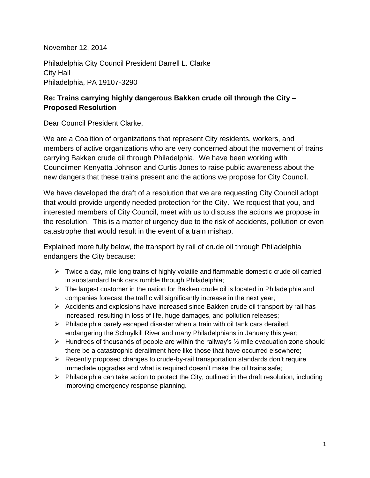November 12, 2014

Philadelphia City Council President Darrell L. Clarke City Hall Philadelphia, PA 19107-3290

## **Re: Trains carrying highly dangerous Bakken crude oil through the City – Proposed Resolution**

Dear Council President Clarke,

We are a Coalition of organizations that represent City residents, workers, and members of active organizations who are very concerned about the movement of trains carrying Bakken crude oil through Philadelphia. We have been working with Councilmen Kenyatta Johnson and Curtis Jones to raise public awareness about the new dangers that these trains present and the actions we propose for City Council.

We have developed the draft of a resolution that we are requesting City Council adopt that would provide urgently needed protection for the City. We request that you, and interested members of City Council, meet with us to discuss the actions we propose in the resolution. This is a matter of urgency due to the risk of accidents, pollution or even catastrophe that would result in the event of a train mishap.

Explained more fully below, the transport by rail of crude oil through Philadelphia endangers the City because:

- $\triangleright$  Twice a day, mile long trains of highly volatile and flammable domestic crude oil carried in substandard tank cars rumble through Philadelphia;
- $\triangleright$  The largest customer in the nation for Bakken crude oil is located in Philadelphia and companies forecast the traffic will significantly increase in the next year;
- $\triangleright$  Accidents and explosions have increased since Bakken crude oil transport by rail has increased, resulting in loss of life, huge damages, and pollution releases;
- $\triangleright$  Philadelphia barely escaped disaster when a train with oil tank cars derailed, endangering the Schuylkill River and many Philadelphians in January this year;
- $\triangleright$  Hundreds of thousands of people are within the railway's  $\frac{1}{2}$  mile evacuation zone should there be a catastrophic derailment here like those that have occurred elsewhere;
- $\triangleright$  Recently proposed changes to crude-by-rail transportation standards don't require immediate upgrades and what is required doesn't make the oil trains safe;
- $\triangleright$  Philadelphia can take action to protect the City, outlined in the draft resolution, including improving emergency response planning.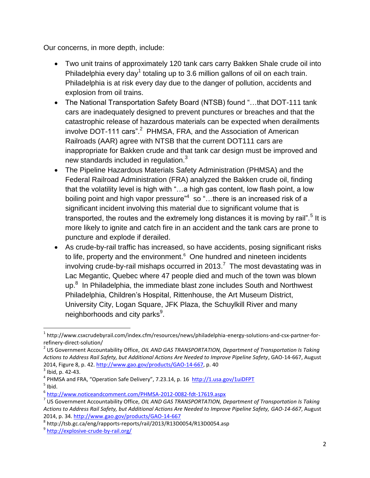Our concerns, in more depth, include:

- Two unit trains of approximately 120 tank cars carry Bakken Shale crude oil into Philadelphia every day<sup>1</sup> totaling up to 3.6 million gallons of oil on each train. Philadelphia is at risk every day due to the danger of pollution, accidents and explosion from oil trains.
- The National Transportation Safety Board (NTSB) found "…that DOT-111 tank cars are inadequately designed to prevent punctures or breaches and that the catastrophic release of hazardous materials can be expected when derailments involve DOT-111 cars".<sup>2</sup> PHMSA, FRA, and the Association of American Railroads (AAR) agree with NTSB that the current DOT111 cars are inappropriate for Bakken crude and that tank car design must be improved and new standards included in regulation.<sup>3</sup>
- The Pipeline Hazardous Materials Safety Administration (PHMSA) and the Federal Railroad Administration (FRA) analyzed the Bakken crude oil, finding that the volatility level is high with "…a high gas content, low flash point, a low boiling point and high vapor pressure" $4\,$  so "...there is an increased risk of a significant incident involving this material due to significant volume that is transported, the routes and the extremely long distances it is moving by rail".<sup>5</sup> It is more likely to ignite and catch fire in an accident and the tank cars are prone to puncture and explode if derailed.
- As crude-by-rail traffic has increased, so have accidents, posing significant risks to life, property and the environment.<sup>6</sup> One hundred and nineteen incidents involving crude-by-rail mishaps occurred in 2013.<sup>7</sup> The most devastating was in Lac Megantic, Quebec where 47 people died and much of the town was blown up.<sup>8</sup> In Philadelphia, the immediate blast zone includes South and Northwest Philadelphia, Children's Hospital, Rittenhouse, the Art Museum District, University City, Logan Square, JFK Plaza, the Schuylkill River and many neighborhoods and city parks $^9$ .

 $\overline{\phantom{a}}$ 

<sup>&</sup>lt;sup>1</sup> http://www.csxcrudebyrail.com/index.cfm/resources/news/philadelphia-energy-solutions-and-csx-partner-forrefinery-direct-solution/

<sup>2</sup> US Government Accountability Office, *OIL AND GAS TRANSPORTATION, Department of Transportation Is Taking Actions to Address Rail Safety, but Additional Actions Are Needed to Improve Pipeline Safety*, GAO-14-667, August 2014, Figure 8, p. 42[. http://www.gao.gov/products/GAO-14-667,](http://www.gao.gov/products/GAO-14-667) p. 40

 $3$  Ibid, p. 42-43.

<sup>&</sup>lt;sup>4</sup> PHMSA and FRA, "Operation Safe Delivery", 7.23.14, p. 16 <http://1.usa.gov/1uiDFPT>  $<sup>5</sup>$  Ibid.</sup>

<sup>6</sup> <http://www.noticeandcomment.com/PHMSA-2012-0082-fdt-17619.aspx>

<sup>7</sup> US Government Accountability Office, *OIL AND GAS TRANSPORTATION, Department of Transportation Is Taking Actions to Address Rail Safety, but Additional Actions Are Needed to Improve Pipeline Safety, GAO-14-667*, August 2014, p. 34.<http://www.gao.gov/products/GAO-14-667>

<sup>8</sup> http://tsb.gc.ca/eng/rapports-reports/rail/2013/R13D0054/R13D0054.asp

<sup>&</sup>lt;sup>9</sup>http://explosive-crude-by-rail.org/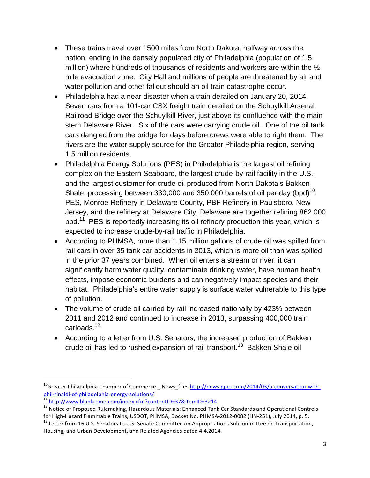- These trains travel over 1500 miles from North Dakota, halfway across the nation, ending in the densely populated city of Philadelphia (population of 1.5 million) where hundreds of thousands of residents and workers are within the  $\frac{1}{2}$ mile evacuation zone. City Hall and millions of people are threatened by air and water pollution and other fallout should an oil train catastrophe occur.
- Philadelphia had a near disaster when a train derailed on January 20, 2014. Seven cars from a 101-car CSX freight train derailed on the Schuylkill Arsenal Railroad Bridge over the Schuylkill River, just above its confluence with the main stem Delaware River. Six of the cars were carrying crude oil. One of the oil tank cars dangled from the bridge for days before crews were able to right them. The rivers are the water supply source for the Greater Philadelphia region, serving 1.5 million residents.
- Philadelphia Energy Solutions (PES) in Philadelphia is the largest oil refining complex on the Eastern Seaboard, the largest crude-by-rail facility in the U.S., and the largest customer for crude oil produced from North Dakota's Bakken Shale, processing between 330,000 and 350,000 barrels of oil per day (bpd) $^{10}$ . PES, Monroe Refinery in Delaware County, PBF Refinery in Paulsboro, New Jersey, and the refinery at Delaware City, Delaware are together refining 862,000 bpd.<sup>11</sup> PES is reportedly increasing its oil refinery production this year, which is expected to increase crude-by-rail traffic in Philadelphia.
- According to PHMSA, more than 1.15 million gallons of crude oil was spilled from rail cars in over 35 tank car accidents in 2013, which is more oil than was spilled in the prior 37 years combined. When oil enters a stream or river, it can significantly harm water quality, contaminate drinking water, have human health effects, impose economic burdens and can negatively impact species and their habitat. Philadelphia's entire water supply is surface water vulnerable to this type of pollution.
- The volume of crude oil carried by rail increased nationally by 423% between 2011 and 2012 and continued to increase in 2013, surpassing 400,000 train carloads.<sup>12</sup>
- According to a letter from U.S. Senators, the increased production of Bakken crude oil has led to rushed expansion of rail transport.<sup>13</sup> Bakken Shale oil

 $\overline{\phantom{a}}$ 

 $10$ <sup>10</sup>Greater Philadelphia Chamber of Commerce News-files [http://news.gpcc.com/2014/03/a-conversation-with](http://news.gpcc.com/2014/03/a-conversation-with-phil-rinaldi-of-philadelphia-energy-solutions/)[phil-rinaldi-of-philadelphia-energy-solutions/](http://news.gpcc.com/2014/03/a-conversation-with-phil-rinaldi-of-philadelphia-energy-solutions/)

<sup>&</sup>lt;sup>11</sup> <http://www.blankrome.com/index.cfm?contentID=37&itemID=3214>

<sup>&</sup>lt;sup>12</sup> Notice of Proposed Rulemaking, Hazardous Materials: Enhanced Tank Car Standards and Operational Controls for High-Hazard Flammable Trains, USDOT, PHMSA, Docket No. PHMSA-2012-0082 (HN-251), July 2014, p. 5.

<sup>&</sup>lt;sup>13</sup> Letter from 16 U.S. Senators to U.S. Senate Committee on Appropriations Subcommittee on Transportation, Housing, and Urban Development, and Related Agencies dated 4.4.2014.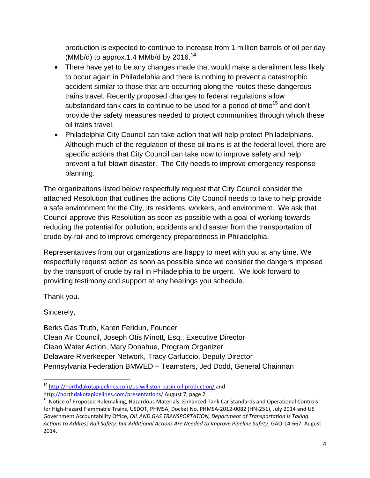production is expected to continue to increase from 1 million barrels of oil per day (MMb/d) to approx.1.4 MMb/d by 2016. **14**

- There have yet to be any changes made that would make a derailment less likely to occur again in Philadelphia and there is nothing to prevent a catastrophic accident similar to those that are occurring along the routes these dangerous trains travel. Recently proposed changes to federal regulations allow substandard tank cars to continue to be used for a period of time<sup>15</sup> and don't provide the safety measures needed to protect communities through which these oil trains travel.
- Philadelphia City Council can take action that will help protect Philadelphians. Although much of the regulation of these oil trains is at the federal level, there are specific actions that City Council can take now to improve safety and help prevent a full blown disaster. The City needs to improve emergency response planning.

The organizations listed below respectfully request that City Council consider the attached Resolution that outlines the actions City Council needs to take to help provide a safe environment for the City, its residents, workers, and environment. We ask that Council approve this Resolution as soon as possible with a goal of working towards reducing the potential for pollution, accidents and disaster from the transportation of crude-by-rail and to improve emergency preparedness in Philadelphia.

Representatives from our organizations are happy to meet with you at any time. We respectfully request action as soon as possible since we consider the dangers imposed by the transport of crude by rail in Philadelphia to be urgent. We look forward to providing testimony and support at any hearings you schedule.

Thank you.

Sincerely,

Berks Gas Truth, Karen Feridun, Founder Clean Air Council, Joseph Otis Minott, Esq., Executive Director Clean Water Action, Mary Donahue, Program Organizer Delaware Riverkeeper Network, Tracy Carluccio, Deputy Director Pennsylvania Federation BMWED – Teamsters, Jed Dodd, General Chairman

 $\overline{\phantom{a}}$ <sup>14</sup> <http://northdakotapipelines.com/us-williston-basin-oil-production/> and <http://northdakotapipelines.com/presentations/> August 7, page 2.

<sup>&</sup>lt;sup>15</sup> Notice of Proposed Rulemaking, Hazardous Materials: Enhanced Tank Car Standards and Operational Controls for High-Hazard Flammable Trains, USDOT, PHMSA, Docket No. PHMSA-2012-0082 (HN-251), July 2014 and US Government Accountability Office, *OIL AND GAS TRANSPORTATION, Department of Transportation Is Taking Actions to Address Rail Safety, but Additional Actions Are Needed to Improve Pipeline Safety*, GAO-14-667, August 2014.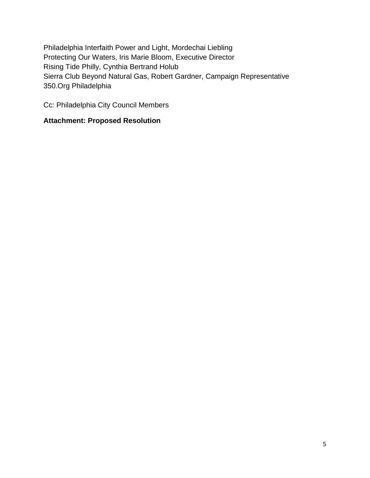Philadelphia Interfaith Power and Light, Mordechai Liebling Protecting Our Waters, Iris Marie Bloom, Executive Director Rising Tide Philly, Cynthia Bertrand Holub Sierra Club Beyond Natural Gas, Robert Gardner, Campaign Representative 350.Org Philadelphia

Cc: Philadelphia City Council Members

## **Attachment: Proposed Resolution**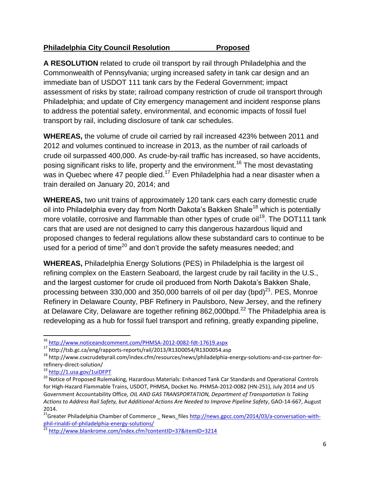## **Philadelphia City Council Resolution Proposed**

**A RESOLUTION** related to crude oil transport by rail through Philadelphia and the Commonwealth of Pennsylvania; urging increased safety in tank car design and an immediate ban of USDOT 111 tank cars by the Federal Government; impact assessment of risks by state; railroad company restriction of crude oil transport through Philadelphia; and update of City emergency management and incident response plans to address the potential safety, environmental, and economic impacts of fossil fuel transport by rail, including disclosure of tank car schedules.

**WHEREAS,** the volume of crude oil carried by rail increased 423% between 2011 and 2012 and volumes continued to increase in 2013, as the number of rail carloads of crude oil surpassed 400,000. As crude-by-rail traffic has increased, so have accidents, posing significant risks to life, property and the environment.<sup>16</sup> The most devastating was in Quebec where 47 people died.<sup>17</sup> Even Philadelphia had a near disaster when a train derailed on January 20, 2014; and

**WHEREAS,** two unit trains of approximately 120 tank cars each carry domestic crude oil into Philadelphia every day from North Dakota's Bakken Shale<sup>18</sup> which is potentially more volatile, corrosive and flammable than other types of crude oil<sup>19</sup>. The DOT111 tank cars that are used are not designed to carry this dangerous hazardous liquid and proposed changes to federal regulations allow these substandard cars to continue to be used for a period of time<sup>20</sup> and don't provide the safety measures needed; and

**WHEREAS,** Philadelphia Energy Solutions (PES) in Philadelphia is the largest oil refining complex on the Eastern Seaboard, the largest crude by rail facility in the U.S., and the largest customer for crude oil produced from North Dakota's Bakken Shale, processing between 330,000 and 350,000 barrels of oil per day (bpd) $^{21}$ . PES, Monroe Refinery in Delaware County, PBF Refinery in Paulsboro, New Jersey, and the refinery at Delaware City, Delaware are together refining 862,000bpd. $^{22}$  The Philadelphia area is redeveloping as a hub for fossil fuel transport and refining, greatly expanding pipeline,

<sup>19</sup> <http://1.usa.gov/1uiDFPT>

 $\overline{a}$ 

<sup>16</sup> <http://www.noticeandcomment.com/PHMSA-2012-0082-fdt-17619.aspx>

<sup>17</sup> http://tsb.gc.ca/eng/rapports-reports/rail/2013/R13D0054/R13D0054.asp

<sup>18</sup> http://www.csxcrudebyrail.com/index.cfm/resources/news/philadelphia-energy-solutions-and-csx-partner-forrefinery-direct-solution/

<sup>&</sup>lt;sup>20</sup> Notice of Proposed Rulemaking, Hazardous Materials: Enhanced Tank Car Standards and Operational Controls for High-Hazard Flammable Trains, USDOT, PHMSA, Docket No. PHMSA-2012-0082 (HN-251), July 2014 and US Government Accountability Office, *OIL AND GAS TRANSPORTATION, Department of Transportation Is Taking Actions to Address Rail Safety, but Additional Actions Are Needed to Improve Pipeline Safety*, GAO-14-667, August 2014.

<sup>&</sup>lt;sup>21</sup>Greater Philadelphia Chamber of Commerce \_ News\_files [http://news.gpcc.com/2014/03/a-conversation-with](http://news.gpcc.com/2014/03/a-conversation-with-phil-rinaldi-of-philadelphia-energy-solutions/)[phil-rinaldi-of-philadelphia-energy-solutions/](http://news.gpcc.com/2014/03/a-conversation-with-phil-rinaldi-of-philadelphia-energy-solutions/)

<sup>&</sup>lt;sup>22</sup> <http://www.blankrome.com/index.cfm?contentID=37&itemID=3214>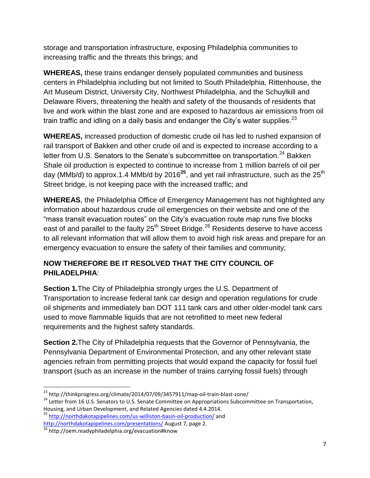storage and transportation infrastructure, exposing Philadelphia communities to increasing traffic and the threats this brings; and

**WHEREAS,** these trains endanger densely populated communities and business centers in Philadelphia including but not limited to South Philadelphia, Rittenhouse, the Art Museum District, University City, Northwest Philadelphia, and the Schuylkill and Delaware Rivers, threatening the health and safety of the thousands of residents that live and work within the blast zone and are exposed to hazardous air emissions from oil train traffic and idling on a daily basis and endanger the City's water supplies.  $23$ 

**WHEREAS,** increased production of domestic crude oil has led to rushed expansion of rail transport of Bakken and other crude oil and is expected to increase according to a letter from U.S. Senators to the Senate's subcommittee on transportation.<sup>24</sup> Bakken Shale oil production is expected to continue to increase from 1 million barrels of oil per day (MMb/d) to approx.1.4 MMb/d by 2016<sup>25</sup>, and yet rail infrastructure, such as the 25<sup>th</sup> Street bridge, is not keeping pace with the increased traffic; and

**WHEREAS**, the Philadelphia Office of Emergency Management has not highlighted any information about hazardous crude oil emergencies on their website and one of the "mass transit evacuation routes" on the City's evacuation route map runs five blocks east of and parallel to the faulty 25<sup>th</sup> Street Bridge.<sup>26</sup> Residents deserve to have access to all relevant information that will allow them to avoid high risk areas and prepare for an emergency evacuation to ensure the safety of their families and community;

## **NOW THEREFORE BE IT RESOLVED THAT THE CITY COUNCIL OF PHILADELPHIA**:

**Section 1.**The City of Philadelphia strongly urges the U.S. Department of Transportation to increase federal tank car design and operation regulations for crude oil shipments and immediately ban DOT 111 tank cars and other older-model tank cars used to move flammable liquids that are not retrofitted to meet new federal requirements and the highest safety standards.

**Section 2.**The City of Philadelphia requests that the Governor of Pennsylvania, the Pennsylvania Department of Environmental Protection, and any other relevant state agencies refrain from permitting projects that would expand the capacity for fossil fuel transport (such as an increase in the number of trains carrying fossil fuels) through

<sup>25</sup> <http://northdakotapipelines.com/us-williston-basin-oil-production/> and <http://northdakotapipelines.com/presentations/> August 7, page 2.

 $\overline{a}$ <sup>23</sup> http://thinkprogress.org/climate/2014/07/09/3457911/map-oil-train-blast-zone/

<sup>&</sup>lt;sup>24</sup> Letter from 16 U.S. Senators to U.S. Senate Committee on Appropriations Subcommittee on Transportation, Housing, and Urban Development, and Related Agencies dated 4.4.2014.

<sup>&</sup>lt;sup>26</sup> http://oem.readyphiladelphia.org/evacuation#know